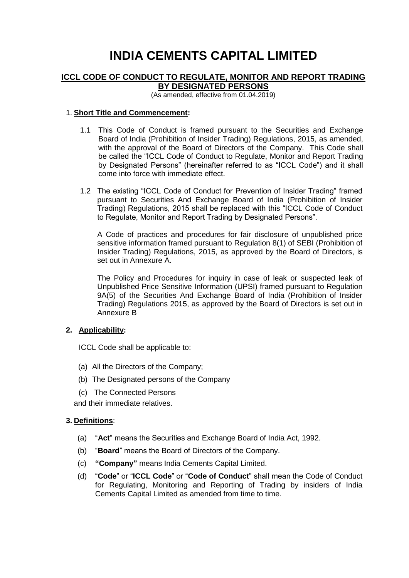# **INDIA CEMENTS CAPITAL LIMITED**

### **ICCL CODE OF CONDUCT TO REGULATE, MONITOR AND REPORT TRADING BY DESIGNATED PERSONS**

(As amended, effective from 01.04.2019)

### 1. **Short Title and Commencement:**

- 1.1 This Code of Conduct is framed pursuant to the Securities and Exchange Board of India (Prohibition of Insider Trading) Regulations, 2015, as amended, with the approval of the Board of Directors of the Company. This Code shall be called the "ICCL Code of Conduct to Regulate, Monitor and Report Trading by Designated Persons" (hereinafter referred to as "ICCL Code") and it shall come into force with immediate effect.
- 1.2 The existing "ICCL Code of Conduct for Prevention of Insider Trading" framed pursuant to Securities And Exchange Board of India (Prohibition of Insider Trading) Regulations, 2015 shall be replaced with this "ICCL Code of Conduct to Regulate, Monitor and Report Trading by Designated Persons".

A Code of practices and procedures for fair disclosure of unpublished price sensitive information framed pursuant to Regulation 8(1) of SEBI (Prohibition of Insider Trading) Regulations, 2015, as approved by the Board of Directors, is set out in Annexure A.

The Policy and Procedures for inquiry in case of leak or suspected leak of Unpublished Price Sensitive Information (UPSI) framed pursuant to Regulation 9A(5) of the Securities And Exchange Board of India (Prohibition of Insider Trading) Regulations 2015, as approved by the Board of Directors is set out in Annexure B

### **2. Applicability:**

ICCL Code shall be applicable to:

- (a) All the Directors of the Company;
- (b) The Designated persons of the Company
- (c) The Connected Persons

and their immediate relatives.

#### **3. Definitions**:

- (a) "**Act**" means the Securities and Exchange Board of India Act, 1992.
- (b) "**Board**" means the Board of Directors of the Company.
- (c) **"Company"** means India Cements Capital Limited.
- (d) "**Code**" or "**ICCL Code**" or "**Code of Conduct**" shall mean the Code of Conduct for Regulating, Monitoring and Reporting of Trading by insiders of India Cements Capital Limited as amended from time to time.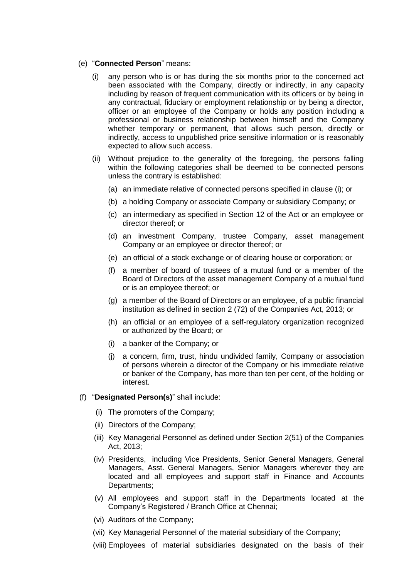#### (e) "**Connected Person**" means:

- (i) any person who is or has during the six months prior to the concerned act been associated with the Company, directly or indirectly, in any capacity including by reason of frequent communication with its officers or by being in any contractual, fiduciary or employment relationship or by being a director, officer or an employee of the Company or holds any position including a professional or business relationship between himself and the Company whether temporary or permanent, that allows such person, directly or indirectly, access to unpublished price sensitive information or is reasonably expected to allow such access.
- (ii) Without prejudice to the generality of the foregoing, the persons falling within the following categories shall be deemed to be connected persons unless the contrary is established:
	- (a) an immediate relative of connected persons specified in clause (i); or
	- (b) a holding Company or associate Company or subsidiary Company; or
	- (c) an intermediary as specified in Section 12 of the Act or an employee or director thereof; or
	- (d) an investment Company, trustee Company, asset management Company or an employee or director thereof; or
	- (e) an official of a stock exchange or of clearing house or corporation; or
	- (f) a member of board of trustees of a mutual fund or a member of the Board of Directors of the asset management Company of a mutual fund or is an employee thereof; or
	- (g) a member of the Board of Directors or an employee, of a public financial institution as defined in section 2 (72) of the Companies Act, 2013; or
	- (h) an official or an employee of a self-regulatory organization recognized or authorized by the Board; or
	- (i) a banker of the Company; or
	- (j) a concern, firm, trust, hindu undivided family, Company or association of persons wherein a director of the Company or his immediate relative or banker of the Company, has more than ten per cent, of the holding or interest.
- (f) "**Designated Person(s)**" shall include:
	- (i) The promoters of the Company;
	- (ii) Directors of the Company;
	- (iii) Key Managerial Personnel as defined under Section 2(51) of the Companies Act, 2013;
	- (iv) Presidents, including Vice Presidents, Senior General Managers, General Managers, Asst. General Managers, Senior Managers wherever they are located and all employees and support staff in Finance and Accounts Departments;
	- (v) All employees and support staff in the Departments located at the Company's Registered / Branch Office at Chennai;
	- (vi) Auditors of the Company;
	- (vii) Key Managerial Personnel of the material subsidiary of the Company;
	- (viii) Employees of material subsidiaries designated on the basis of their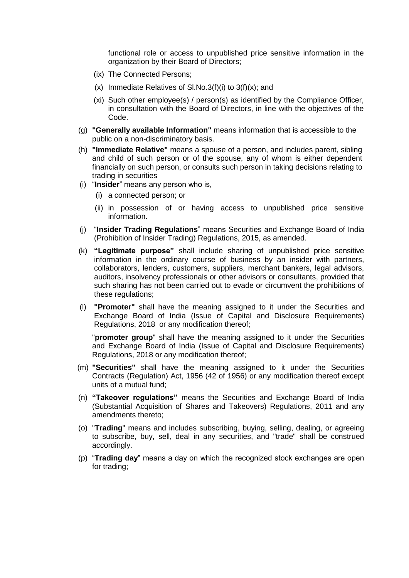functional role or access to unpublished price sensitive information in the organization by their Board of Directors;

- (ix) The Connected Persons;
- (x) Immediate Relatives of SI.No.3(f)(i) to  $3(f)(x)$ ; and
- (xi) Such other employee(s) / person(s) as identified by the Compliance Officer, in consultation with the Board of Directors, in line with the objectives of the Code.
- (g) **"Generally available Information"** means information that is accessible to the public on a non-discriminatory basis.
- (h) **"Immediate Relative"** means a spouse of a person, and includes parent, sibling and child of such person or of the spouse, any of whom is either dependent financially on such person, or consults such person in taking decisions relating to trading in securities
- (i) "**Insider**" means any person who is,
	- (i) a connected person; or
	- (ii) in possession of or having access to unpublished price sensitive information.
- (j) "**Insider Trading Regulations**" means Securities and Exchange Board of India (Prohibition of Insider Trading) Regulations, 2015, as amended.
- (k) **"Legitimate purpose"** shall include sharing of unpublished price sensitive information in the ordinary course of business by an insider with partners, collaborators, lenders, customers, suppliers, merchant bankers, legal advisors, auditors, insolvency professionals or other advisors or consultants, provided that such sharing has not been carried out to evade or circumvent the prohibitions of these regulations;
- (l) **"Promoter"** shall have the meaning assigned to it under the Securities and Exchange Board of India (Issue of Capital and Disclosure Requirements) Regulations, 2018 or any modification thereof;

"**promoter group**" shall have the meaning assigned to it under the Securities and Exchange Board of India (Issue of Capital and Disclosure Requirements) Regulations, 2018 or any modification thereof;

- (m) **"Securities"** shall have the meaning assigned to it under the Securities Contracts (Regulation) Act, 1956 (42 of 1956) or any modification thereof except units of a mutual fund;
- (n) **"Takeover regulations"** means the Securities and Exchange Board of India (Substantial Acquisition of Shares and Takeovers) Regulations, 2011 and any amendments thereto;
- (o) "**Trading**" means and includes subscribing, buying, selling, dealing, or agreeing to subscribe, buy, sell, deal in any securities, and "trade" shall be construed accordingly.
- (p) "**Trading day**" means a day on which the recognized stock exchanges are open for trading;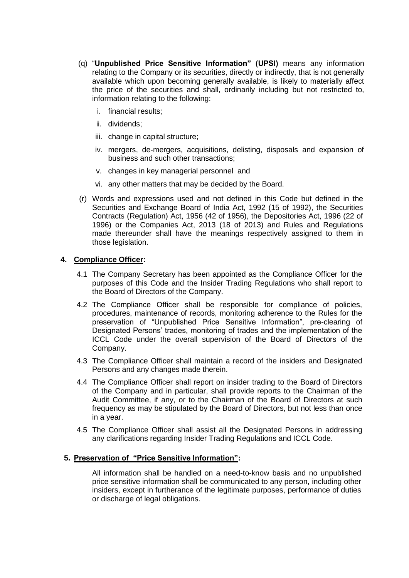- (q) "**Unpublished Price Sensitive Information" (UPSI)** means any information relating to the Company or its securities, directly or indirectly, that is not generally available which upon becoming generally available, is likely to materially affect the price of the securities and shall, ordinarily including but not restricted to, information relating to the following:
	- i. financial results;
	- ii. dividends;
	- iii. change in capital structure;
	- iv. mergers, de-mergers, acquisitions, delisting, disposals and expansion of business and such other transactions;
	- v. changes in key managerial personnel and
	- vi. any other matters that may be decided by the Board.
- (r) Words and expressions used and not defined in this Code but defined in the Securities and Exchange Board of India Act, 1992 (15 of 1992), the Securities Contracts (Regulation) Act, 1956 (42 of 1956), the Depositories Act, 1996 (22 of 1996) or the Companies Act, 2013 (18 of 2013) and Rules and Regulations made thereunder shall have the meanings respectively assigned to them in those legislation.

### **4. Compliance Officer:**

- 4.1 The Company Secretary has been appointed as the Compliance Officer for the purposes of this Code and the Insider Trading Regulations who shall report to the Board of Directors of the Company.
- 4.2 The Compliance Officer shall be responsible for compliance of policies, procedures, maintenance of records, monitoring adherence to the Rules for the preservation of "Unpublished Price Sensitive Information", pre-clearing of Designated Persons' trades, monitoring of trades and the implementation of the ICCL Code under the overall supervision of the Board of Directors of the Company.
- 4.3 The Compliance Officer shall maintain a record of the insiders and Designated Persons and any changes made therein.
- 4.4 The Compliance Officer shall report on insider trading to the Board of Directors of the Company and in particular, shall provide reports to the Chairman of the Audit Committee, if any, or to the Chairman of the Board of Directors at such frequency as may be stipulated by the Board of Directors, but not less than once in a year.
- 4.5 The Compliance Officer shall assist all the Designated Persons in addressing any clarifications regarding Insider Trading Regulations and ICCL Code.

#### **5. Preservation of "Price Sensitive Information":**

All information shall be handled on a need-to-know basis and no unpublished price sensitive information shall be communicated to any person, including other insiders, except in furtherance of the legitimate purposes, performance of duties or discharge of legal obligations.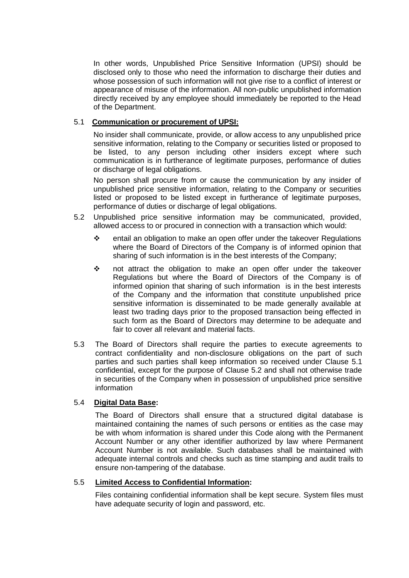In other words, Unpublished Price Sensitive Information (UPSI) should be disclosed only to those who need the information to discharge their duties and whose possession of such information will not give rise to a conflict of interest or appearance of misuse of the information. All non-public unpublished information directly received by any employee should immediately be reported to the Head of the Department.

### 5.1 **Communication or procurement of UPSI:**

No insider shall communicate, provide, or allow access to any unpublished price sensitive information, relating to the Company or securities listed or proposed to be listed, to any person including other insiders except where such communication is in furtherance of legitimate purposes, performance of duties or discharge of legal obligations.

No person shall procure from or cause the communication by any insider of unpublished price sensitive information, relating to the Company or securities listed or proposed to be listed except in furtherance of legitimate purposes, performance of duties or discharge of legal obligations.

- 5.2 Unpublished price sensitive information may be communicated, provided, allowed access to or procured in connection with a transaction which would:
	- ❖ entail an obligation to make an open offer under the takeover Regulations where the Board of Directors of the Company is of informed opinion that sharing of such information is in the best interests of the Company;
	- ❖ not attract the obligation to make an open offer under the takeover Regulations but where the Board of Directors of the Company is of informed opinion that sharing of such information is in the best interests of the Company and the information that constitute unpublished price sensitive information is disseminated to be made generally available at least two trading days prior to the proposed transaction being effected in such form as the Board of Directors may determine to be adequate and fair to cover all relevant and material facts.
- 5.3 The Board of Directors shall require the parties to execute agreements to contract confidentiality and non-disclosure obligations on the part of such parties and such parties shall keep information so received under Clause 5.1 confidential, except for the purpose of Clause 5.2 and shall not otherwise trade in securities of the Company when in possession of unpublished price sensitive information

### 5.4 **Digital Data Base:**

The Board of Directors shall ensure that a structured digital database is maintained containing the names of such persons or entities as the case may be with whom information is shared under this Code along with the Permanent Account Number or any other identifier authorized by law where Permanent Account Number is not available. Such databases shall be maintained with adequate internal controls and checks such as time stamping and audit trails to ensure non-tampering of the database.

### 5.5 **Limited Access to Confidential Information:**

Files containing confidential information shall be kept secure. System files must have adequate security of login and password, etc.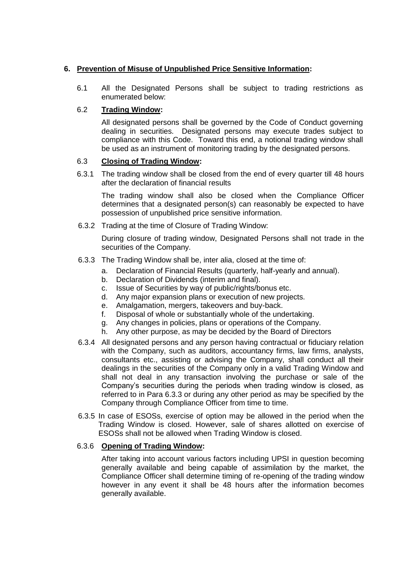### **6. Prevention of Misuse of Unpublished Price Sensitive Information:**

6.1 All the Designated Persons shall be subject to trading restrictions as enumerated below:

### 6.2 **Trading Window:**

All designated persons shall be governed by the Code of Conduct governing dealing in securities. Designated persons may execute trades subject to compliance with this Code. Toward this end, a notional trading window shall be used as an instrument of monitoring trading by the designated persons.

### 6.3 **Closing of Trading Window:**

6.3.1 The trading window shall be closed from the end of every quarter till 48 hours after the declaration of financial results

The trading window shall also be closed when the Compliance Officer determines that a designated person(s) can reasonably be expected to have possession of unpublished price sensitive information.

6.3.2 Trading at the time of Closure of Trading Window:

During closure of trading window, Designated Persons shall not trade in the securities of the Company.

- 6.3.3 The Trading Window shall be, inter alia, closed at the time of:
	- a. Declaration of Financial Results (quarterly, half-yearly and annual).
	- b. Declaration of Dividends (interim and final).
	- c. Issue of Securities by way of public/rights/bonus etc.
	- d. Any major expansion plans or execution of new projects.
	- e. Amalgamation, mergers, takeovers and buy-back.
	- f. Disposal of whole or substantially whole of the undertaking.
	- g. Any changes in policies, plans or operations of the Company.
	- h. Any other purpose, as may be decided by the Board of Directors
- 6.3.4 All designated persons and any person having contractual or fiduciary relation with the Company, such as auditors, accountancy firms, law firms, analysts, consultants etc., assisting or advising the Company, shall conduct all their dealings in the securities of the Company only in a valid Trading Window and shall not deal in any transaction involving the purchase or sale of the Company's securities during the periods when trading window is closed, as referred to in Para 6.3.3 or during any other period as may be specified by the Company through Compliance Officer from time to time.
- 6.3.5 In case of ESOSs, exercise of option may be allowed in the period when the Trading Window is closed. However, sale of shares allotted on exercise of ESOSs shall not be allowed when Trading Window is closed.

### 6.3.6 **Opening of Trading Window:**

After taking into account various factors including UPSI in question becoming generally available and being capable of assimilation by the market, the Compliance Officer shall determine timing of re-opening of the trading window however in any event it shall be 48 hours after the information becomes generally available.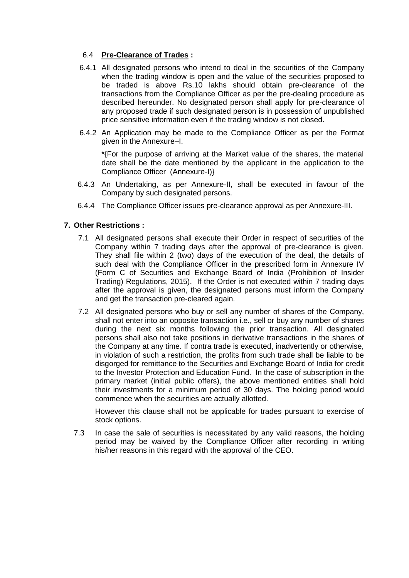### 6.4 **Pre-Clearance of Trades :**

- 6.4.1 All designated persons who intend to deal in the securities of the Company when the trading window is open and the value of the securities proposed to be traded is above Rs.10 lakhs should obtain pre-clearance of the transactions from the Compliance Officer as per the pre-dealing procedure as described hereunder. No designated person shall apply for pre-clearance of any proposed trade if such designated person is in possession of unpublished price sensitive information even if the trading window is not closed.
- 6.4.2 An Application may be made to the Compliance Officer as per the Format given in the Annexure–I.

\*{For the purpose of arriving at the Market value of the shares, the material date shall be the date mentioned by the applicant in the application to the Compliance Officer (Annexure-I)}

- 6.4.3 An Undertaking, as per Annexure-II, shall be executed in favour of the Company by such designated persons.
- 6.4.4 The Compliance Officer issues pre-clearance approval as per Annexure-III.

### **7. Other Restrictions :**

- 7.1 All designated persons shall execute their Order in respect of securities of the Company within 7 trading days after the approval of pre-clearance is given. They shall file within 2 (two) days of the execution of the deal, the details of such deal with the Compliance Officer in the prescribed form in Annexure IV (Form C of Securities and Exchange Board of India (Prohibition of Insider Trading) Regulations, 2015). If the Order is not executed within 7 trading days after the approval is given, the designated persons must inform the Company and get the transaction pre-cleared again.
- 7.2 All designated persons who buy or sell any number of shares of the Company, shall not enter into an opposite transaction i.e., sell or buy any number of shares during the next six months following the prior transaction. All designated persons shall also not take positions in derivative transactions in the shares of the Company at any time. If contra trade is executed, inadvertently or otherwise, in violation of such a restriction, the profits from such trade shall be liable to be disgorged for remittance to the Securities and Exchange Board of India for credit to the Investor Protection and Education Fund. In the case of subscription in the primary market (initial public offers), the above mentioned entities shall hold their investments for a minimum period of 30 days. The holding period would commence when the securities are actually allotted.

However this clause shall not be applicable for trades pursuant to exercise of stock options.

7.3 In case the sale of securities is necessitated by any valid reasons, the holding period may be waived by the Compliance Officer after recording in writing his/her reasons in this regard with the approval of the CEO.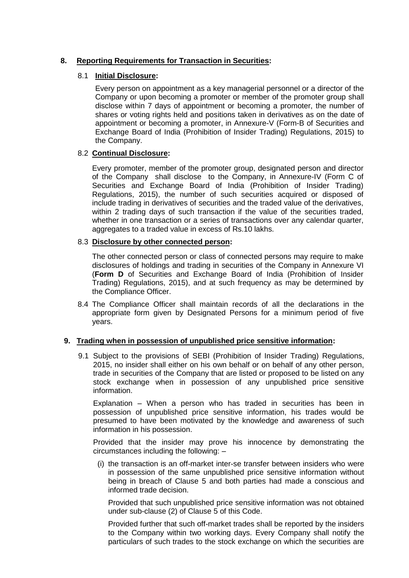### **8. Reporting Requirements for Transaction in Securities:**

### 8.1 **Initial Disclosure:**

Every person on appointment as a key managerial personnel or a director of the Company or upon becoming a promoter or member of the promoter group shall disclose within 7 days of appointment or becoming a promoter, the number of shares or voting rights held and positions taken in derivatives as on the date of appointment or becoming a promoter, in Annexure-V (Form-B of Securities and Exchange Board of India (Prohibition of Insider Trading) Regulations, 2015) to the Company.

### 8.2 **Continual Disclosure:**

Every promoter, member of the promoter group, designated person and director of the Company shall disclose to the Company, in Annexure-IV (Form C of Securities and Exchange Board of India (Prohibition of Insider Trading) Regulations, 2015), the number of such securities acquired or disposed of include trading in derivatives of securities and the traded value of the derivatives, within 2 trading days of such transaction if the value of the securities traded, whether in one transaction or a series of transactions over any calendar quarter, aggregates to a traded value in excess of Rs.10 lakhs.

### 8.3 **Disclosure by other connected person:**

The other connected person or class of connected persons may require to make disclosures of holdings and trading in securities of the Company in Annexure VI (**Form D** of Securities and Exchange Board of India (Prohibition of Insider Trading) Regulations, 2015), and at such frequency as may be determined by the Compliance Officer.

8.4 The Compliance Officer shall maintain records of all the declarations in the appropriate form given by Designated Persons for a minimum period of five years.

### **9. Trading when in possession of unpublished price sensitive information:**

9.1 Subject to the provisions of SEBI (Prohibition of Insider Trading) Regulations, 2015, no insider shall either on his own behalf or on behalf of any other person, trade in securities of the Company that are listed or proposed to be listed on any stock exchange when in possession of any unpublished price sensitive information.

Explanation – When a person who has traded in securities has been in possession of unpublished price sensitive information, his trades would be presumed to have been motivated by the knowledge and awareness of such information in his possession.

Provided that the insider may prove his innocence by demonstrating the circumstances including the following: –

(i) the transaction is an off-market inter-se transfer between insiders who were in possession of the same unpublished price sensitive information without being in breach of Clause 5 and both parties had made a conscious and informed trade decision.

Provided that such unpublished price sensitive information was not obtained under sub-clause (2) of Clause 5 of this Code.

Provided further that such off-market trades shall be reported by the insiders to the Company within two working days. Every Company shall notify the particulars of such trades to the stock exchange on which the securities are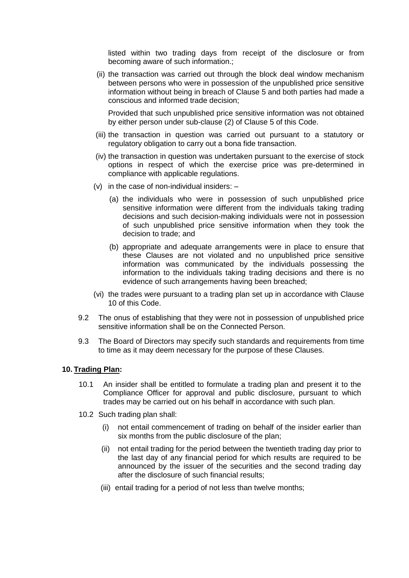listed within two trading days from receipt of the disclosure or from becoming aware of such information.;

(ii) the transaction was carried out through the block deal window mechanism between persons who were in possession of the unpublished price sensitive information without being in breach of Clause 5 and both parties had made a conscious and informed trade decision;

Provided that such unpublished price sensitive information was not obtained by either person under sub-clause (2) of Clause 5 of this Code.

- (iii) the transaction in question was carried out pursuant to a statutory or regulatory obligation to carry out a bona fide transaction.
- (iv) the transaction in question was undertaken pursuant to the exercise of stock options in respect of which the exercise price was pre-determined in compliance with applicable regulations.
- (v) in the case of non-individual insiders:
	- (a) the individuals who were in possession of such unpublished price sensitive information were different from the individuals taking trading decisions and such decision-making individuals were not in possession of such unpublished price sensitive information when they took the decision to trade; and
	- (b) appropriate and adequate arrangements were in place to ensure that these Clauses are not violated and no unpublished price sensitive information was communicated by the individuals possessing the information to the individuals taking trading decisions and there is no evidence of such arrangements having been breached;
- (vi) the trades were pursuant to a trading plan set up in accordance with Clause 10 of this Code.
- 9.2 The onus of establishing that they were not in possession of unpublished price sensitive information shall be on the Connected Person.
- 9.3 The Board of Directors may specify such standards and requirements from time to time as it may deem necessary for the purpose of these Clauses.

#### **10. Trading Plan:**

- 10.1 An insider shall be entitled to formulate a trading plan and present it to the Compliance Officer for approval and public disclosure, pursuant to which trades may be carried out on his behalf in accordance with such plan.
- 10.2 Such trading plan shall:
	- (i) not entail commencement of trading on behalf of the insider earlier than six months from the public disclosure of the plan;
	- (ii) not entail trading for the period between the twentieth trading day prior to the last day of any financial period for which results are required to be announced by the issuer of the securities and the second trading day after the disclosure of such financial results;
	- (iii) entail trading for a period of not less than twelve months;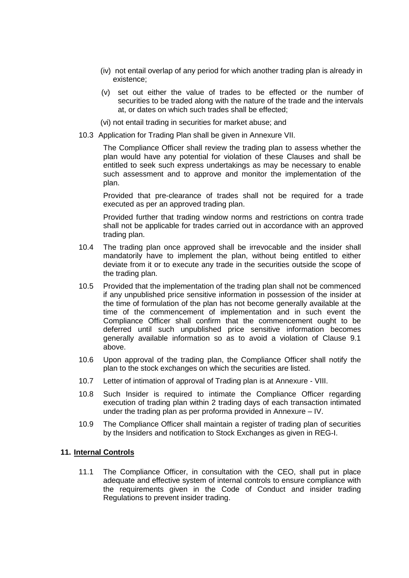- (iv) not entail overlap of any period for which another trading plan is already in existence;
- (v) set out either the value of trades to be effected or the number of securities to be traded along with the nature of the trade and the intervals at, or dates on which such trades shall be effected;
- (vi) not entail trading in securities for market abuse; and
- 10.3 Application for Trading Plan shall be given in Annexure VII.

The Compliance Officer shall review the trading plan to assess whether the plan would have any potential for violation of these Clauses and shall be entitled to seek such express undertakings as may be necessary to enable such assessment and to approve and monitor the implementation of the plan.

Provided that pre-clearance of trades shall not be required for a trade executed as per an approved trading plan.

Provided further that trading window norms and restrictions on contra trade shall not be applicable for trades carried out in accordance with an approved trading plan.

- 10.4 The trading plan once approved shall be irrevocable and the insider shall mandatorily have to implement the plan, without being entitled to either deviate from it or to execute any trade in the securities outside the scope of the trading plan.
- 10.5 Provided that the implementation of the trading plan shall not be commenced if any unpublished price sensitive information in possession of the insider at the time of formulation of the plan has not become generally available at the time of the commencement of implementation and in such event the Compliance Officer shall confirm that the commencement ought to be deferred until such unpublished price sensitive information becomes generally available information so as to avoid a violation of Clause 9.1 above.
- 10.6 Upon approval of the trading plan, the Compliance Officer shall notify the plan to the stock exchanges on which the securities are listed.
- 10.7 Letter of intimation of approval of Trading plan is at Annexure VIII.
- 10.8 Such Insider is required to intimate the Compliance Officer regarding execution of trading plan within 2 trading days of each transaction intimated under the trading plan as per proforma provided in Annexure – IV.
- 10.9 The Compliance Officer shall maintain a register of trading plan of securities by the Insiders and notification to Stock Exchanges as given in REG-I.

#### **11. Internal Controls**

11.1 The Compliance Officer, in consultation with the CEO, shall put in place adequate and effective system of internal controls to ensure compliance with the requirements given in the Code of Conduct and insider trading Regulations to prevent insider trading.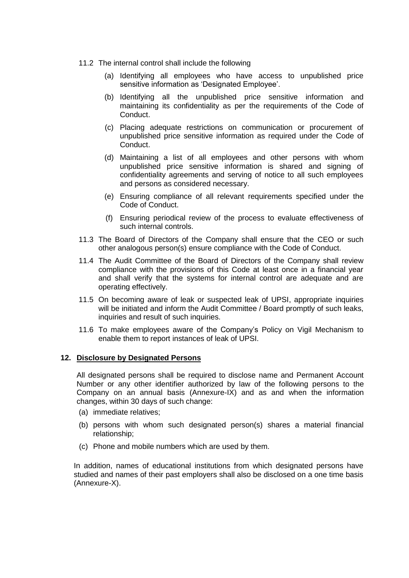- 11.2 The internal control shall include the following
	- (a) Identifying all employees who have access to unpublished price sensitive information as 'Designated Employee'.
	- (b) Identifying all the unpublished price sensitive information and maintaining its confidentiality as per the requirements of the Code of Conduct.
	- (c) Placing adequate restrictions on communication or procurement of unpublished price sensitive information as required under the Code of Conduct.
	- (d) Maintaining a list of all employees and other persons with whom unpublished price sensitive information is shared and signing of confidentiality agreements and serving of notice to all such employees and persons as considered necessary.
	- (e) Ensuring compliance of all relevant requirements specified under the Code of Conduct.
	- (f) Ensuring periodical review of the process to evaluate effectiveness of such internal controls.
- 11.3 The Board of Directors of the Company shall ensure that the CEO or such other analogous person(s) ensure compliance with the Code of Conduct.
- 11.4 The Audit Committee of the Board of Directors of the Company shall review compliance with the provisions of this Code at least once in a financial year and shall verify that the systems for internal control are adequate and are operating effectively.
- 11.5 On becoming aware of leak or suspected leak of UPSI, appropriate inquiries will be initiated and inform the Audit Committee / Board promptly of such leaks, inquiries and result of such inquiries.
- 11.6 To make employees aware of the Company's Policy on Vigil Mechanism to enable them to report instances of leak of UPSI.

#### **12. Disclosure by Designated Persons**

All designated persons shall be required to disclose name and Permanent Account Number or any other identifier authorized by law of the following persons to the Company on an annual basis (Annexure-IX) and as and when the information changes, within 30 days of such change:

- (a) immediate relatives;
- (b) persons with whom such designated person(s) shares a material financial relationship;
- (c) Phone and mobile numbers which are used by them.

In addition, names of educational institutions from which designated persons have studied and names of their past employers shall also be disclosed on a one time basis (Annexure-X).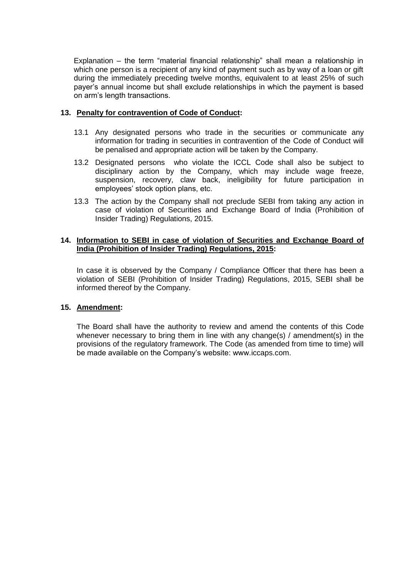Explanation – the term "material financial relationship" shall mean a relationship in which one person is a recipient of any kind of payment such as by way of a loan or gift during the immediately preceding twelve months, equivalent to at least 25% of such payer's annual income but shall exclude relationships in which the payment is based on arm's length transactions.

### **13. Penalty for contravention of Code of Conduct:**

- 13.1 Any designated persons who trade in the securities or communicate any information for trading in securities in contravention of the Code of Conduct will be penalised and appropriate action will be taken by the Company.
- 13.2 Designated persons who violate the ICCL Code shall also be subject to disciplinary action by the Company, which may include wage freeze, suspension, recovery, claw back, ineligibility for future participation in employees' stock option plans, etc.
- 13.3 The action by the Company shall not preclude SEBI from taking any action in case of violation of Securities and Exchange Board of India (Prohibition of Insider Trading) Regulations, 2015.

### **14. Information to SEBI in case of violation of Securities and Exchange Board of India (Prohibition of Insider Trading) Regulations, 2015:**

In case it is observed by the Company / Compliance Officer that there has been a violation of SEBI (Prohibition of Insider Trading) Regulations, 2015, SEBI shall be informed thereof by the Company.

### **15. Amendment:**

The Board shall have the authority to review and amend the contents of this Code whenever necessary to bring them in line with any change(s) / amendment(s) in the provisions of the regulatory framework. The Code (as amended from time to time) will be made available on the Company's website: www.iccaps.com.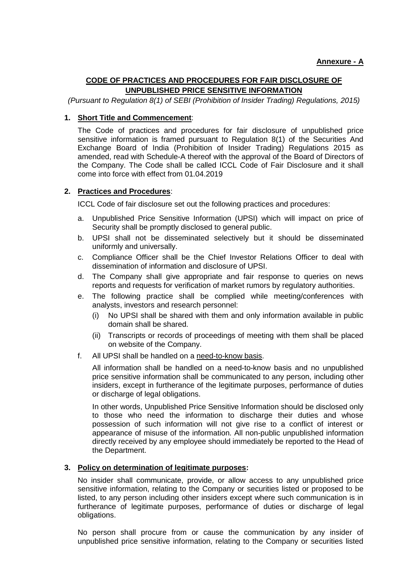### **CODE OF PRACTICES AND PROCEDURES FOR FAIR DISCLOSURE OF UNPUBLISHED PRICE SENSITIVE INFORMATION**

*(Pursuant to Regulation 8(1) of SEBI (Prohibition of Insider Trading) Regulations, 2015)*

#### **1. Short Title and Commencement**:

The Code of practices and procedures for fair disclosure of unpublished price sensitive information is framed pursuant to Regulation 8(1) of the Securities And Exchange Board of India (Prohibition of Insider Trading) Regulations 2015 as amended, read with Schedule-A thereof with the approval of the Board of Directors of the Company. The Code shall be called ICCL Code of Fair Disclosure and it shall come into force with effect from 01.04.2019

### **2. Practices and Procedures**:

ICCL Code of fair disclosure set out the following practices and procedures:

- a. Unpublished Price Sensitive Information (UPSI) which will impact on price of Security shall be promptly disclosed to general public.
- b. UPSI shall not be disseminated selectively but it should be disseminated uniformly and universally.
- c. Compliance Officer shall be the Chief Investor Relations Officer to deal with dissemination of information and disclosure of UPSI.
- d. The Company shall give appropriate and fair response to queries on news reports and requests for verification of market rumors by regulatory authorities.
- e. The following practice shall be complied while meeting/conferences with analysts, investors and research personnel:
	- (i) No UPSI shall be shared with them and only information available in public domain shall be shared.
	- (ii) Transcripts or records of proceedings of meeting with them shall be placed on website of the Company.
- f. All UPSI shall be handled on a need-to-know basis.

All information shall be handled on a need-to-know basis and no unpublished price sensitive information shall be communicated to any person, including other insiders, except in furtherance of the legitimate purposes, performance of duties or discharge of legal obligations.

In other words, Unpublished Price Sensitive Information should be disclosed only to those who need the information to discharge their duties and whose possession of such information will not give rise to a conflict of interest or appearance of misuse of the information. All non-public unpublished information directly received by any employee should immediately be reported to the Head of the Department.

#### **3. Policy on determination of legitimate purposes:**

No insider shall communicate, provide, or allow access to any unpublished price sensitive information, relating to the Company or securities listed or proposed to be listed, to any person including other insiders except where such communication is in furtherance of legitimate purposes, performance of duties or discharge of legal obligations.

No person shall procure from or cause the communication by any insider of unpublished price sensitive information, relating to the Company or securities listed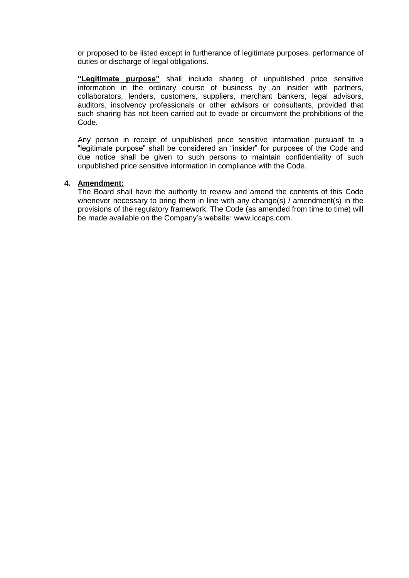or proposed to be listed except in furtherance of legitimate purposes, performance of duties or discharge of legal obligations.

**"Legitimate purpose"** shall include sharing of unpublished price sensitive information in the ordinary course of business by an insider with partners, collaborators, lenders, customers, suppliers, merchant bankers, legal advisors, auditors, insolvency professionals or other advisors or consultants, provided that such sharing has not been carried out to evade or circumvent the prohibitions of the Code.

Any person in receipt of unpublished price sensitive information pursuant to a "legitimate purpose" shall be considered an "insider" for purposes of the Code and due notice shall be given to such persons to maintain confidentiality of such unpublished price sensitive information in compliance with the Code.

### **4. Amendment:**

The Board shall have the authority to review and amend the contents of this Code whenever necessary to bring them in line with any change(s) / amendment(s) in the provisions of the regulatory framework. The Code (as amended from time to time) will be made available on the Company's website: www.iccaps.com.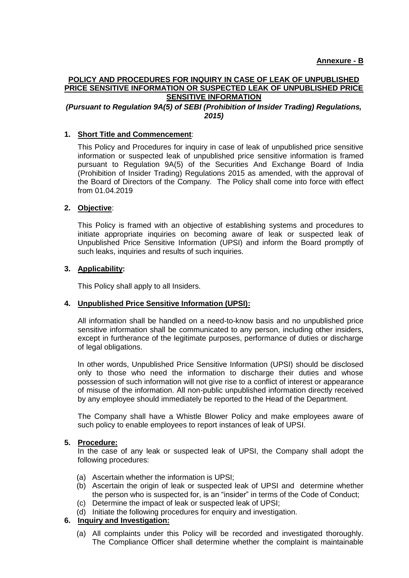### **POLICY AND PROCEDURES FOR INQUIRY IN CASE OF LEAK OF UNPUBLISHED PRICE SENSITIVE INFORMATION OR SUSPECTED LEAK OF UNPUBLISHED PRICE SENSITIVE INFORMATION**

### *(Pursuant to Regulation 9A(5) of SEBI (Prohibition of Insider Trading) Regulations, 2015)*

### **1. Short Title and Commencement**:

This Policy and Procedures for inquiry in case of leak of unpublished price sensitive information or suspected leak of unpublished price sensitive information is framed pursuant to Regulation 9A(5) of the Securities And Exchange Board of India (Prohibition of Insider Trading) Regulations 2015 as amended, with the approval of the Board of Directors of the Company. The Policy shall come into force with effect from 01.04.2019

### **2. Objective**:

This Policy is framed with an objective of establishing systems and procedures to initiate appropriate inquiries on becoming aware of leak or suspected leak of Unpublished Price Sensitive Information (UPSI) and inform the Board promptly of such leaks, inquiries and results of such inquiries.

### **3. Applicability:**

This Policy shall apply to all Insiders.

### **4. Unpublished Price Sensitive Information (UPSI):**

All information shall be handled on a need-to-know basis and no unpublished price sensitive information shall be communicated to any person, including other insiders, except in furtherance of the legitimate purposes, performance of duties or discharge of legal obligations.

In other words, Unpublished Price Sensitive Information (UPSI) should be disclosed only to those who need the information to discharge their duties and whose possession of such information will not give rise to a conflict of interest or appearance of misuse of the information. All non-public unpublished information directly received by any employee should immediately be reported to the Head of the Department.

The Company shall have a Whistle Blower Policy and make employees aware of such policy to enable employees to report instances of leak of UPSI.

#### **5. Procedure:**

In the case of any leak or suspected leak of UPSI, the Company shall adopt the following procedures:

- (a) Ascertain whether the information is UPSI;
- (b) Ascertain the origin of leak or suspected leak of UPSI and determine whether the person who is suspected for, is an "insider" in terms of the Code of Conduct;
- (c) Determine the impact of leak or suspected leak of UPSI;
- (d) Initiate the following procedures for enquiry and investigation.

### **6. Inquiry and Investigation:**

(a) All complaints under this Policy will be recorded and investigated thoroughly. The Compliance Officer shall determine whether the complaint is maintainable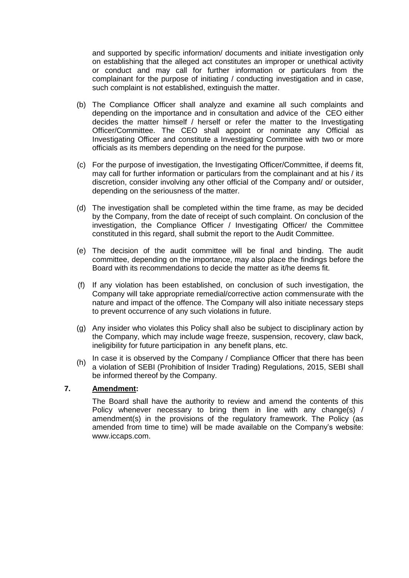and supported by specific information/ documents and initiate investigation only on establishing that the alleged act constitutes an improper or unethical activity or conduct and may call for further information or particulars from the complainant for the purpose of initiating / conducting investigation and in case, such complaint is not established, extinguish the matter.

- (b) The Compliance Officer shall analyze and examine all such complaints and depending on the importance and in consultation and advice of the CEO either decides the matter himself / herself or refer the matter to the Investigating Officer/Committee. The CEO shall appoint or nominate any Official as Investigating Officer and constitute a Investigating Committee with two or more officials as its members depending on the need for the purpose.
- (c) For the purpose of investigation, the Investigating Officer/Committee, if deems fit, may call for further information or particulars from the complainant and at his / its discretion, consider involving any other official of the Company and/ or outsider, depending on the seriousness of the matter.
- (d) The investigation shall be completed within the time frame, as may be decided by the Company, from the date of receipt of such complaint. On conclusion of the investigation, the Compliance Officer / Investigating Officer/ the Committee constituted in this regard, shall submit the report to the Audit Committee.
- (e) The decision of the audit committee will be final and binding. The audit committee, depending on the importance, may also place the findings before the Board with its recommendations to decide the matter as it/he deems fit.
- (f) If any violation has been established, on conclusion of such investigation, the Company will take appropriate remedial/corrective action commensurate with the nature and impact of the offence. The Company will also initiate necessary steps to prevent occurrence of any such violations in future.
- (g) Any insider who violates this Policy shall also be subject to disciplinary action by the Company, which may include wage freeze, suspension, recovery, claw back, ineligibility for future participation in any benefit plans, etc.
- (h) In case it is observed by the Company / Compliance Officer that there has been<br> $\frac{1}{2}$ a violation of SEBI (Prohibition of Insider Trading) Regulations, 2015, SEBI shall be informed thereof by the Company.

### **7. Amendment:**

The Board shall have the authority to review and amend the contents of this Policy whenever necessary to bring them in line with any change(s) / amendment(s) in the provisions of the regulatory framework. The Policy (as amended from time to time) will be made available on the Company's website: www.iccaps.com.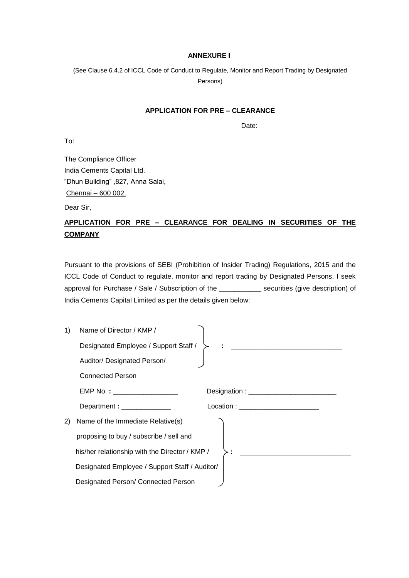#### **ANNEXURE I**

(See Clause 6.4.2 of ICCL Code of Conduct to Regulate, Monitor and Report Trading by Designated Persons)

### **APPLICATION FOR PRE – CLEARANCE**

Date:

To:

The Compliance Officer India Cements Capital Ltd. "Dhun Building" ,827, Anna Salai, Chennai – 600 002.

Dear Sir,

# **APPLICATION FOR PRE – CLEARANCE FOR DEALING IN SECURITIES OF THE COMPANY**

Pursuant to the provisions of SEBI (Prohibition of Insider Trading) Regulations, 2015 and the ICCL Code of Conduct to regulate, monitor and report trading by Designated Persons, I seek approval for Purchase / Sale / Subscription of the \_\_\_\_\_\_\_\_\_\_\_ securities (give description) of India Cements Capital Limited as per the details given below:

| 1) | Name of Director / KMP /                       |                                                           |
|----|------------------------------------------------|-----------------------------------------------------------|
|    | Designated Employee / Support Staff /          | <u> 1980 - Jan Barbara, martxar al III-lea (h. 1980).</u> |
|    | Auditor/ Designated Person/                    |                                                           |
|    | <b>Connected Person</b>                        |                                                           |
|    | EMP No. : ____________________                 |                                                           |
|    | Department : ______________                    | Location : __________________________                     |
| 2) | Name of the Immediate Relative(s)              |                                                           |
|    | proposing to buy / subscribe / sell and        |                                                           |
|    | his/her relationship with the Director / KMP / |                                                           |
|    | Designated Employee / Support Staff / Auditor/ |                                                           |
|    | Designated Person/ Connected Person            |                                                           |
|    |                                                |                                                           |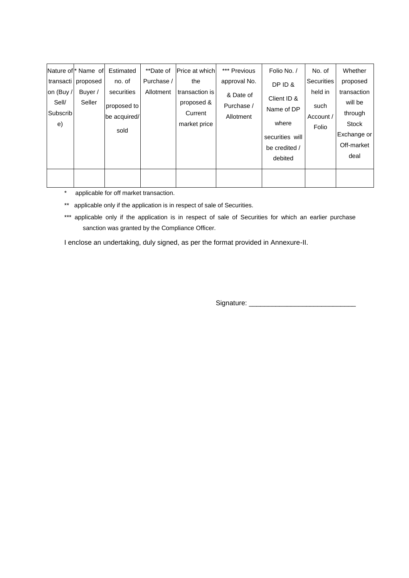|           | Nature of * Name of | Estimated    | **Date of  | Price at which | *** Previous | Folio No. /     | No. of            | Whether      |
|-----------|---------------------|--------------|------------|----------------|--------------|-----------------|-------------------|--------------|
| transacti | proposed            | no. of       | Purchase / | the            | approval No. | DPID&           | <b>Securities</b> | proposed     |
| on (Buy / | Buyer /             | securities   | Allotment  | transaction is | & Date of    | Client ID &     | held in           | transaction  |
| Sell/     | Seller              | proposed to  |            | proposed &     | Purchase /   | Name of DP      | such              | will be      |
| Subscrib  |                     | be acquired/ |            | Current        | Allotment    |                 | Account /         | through      |
| e)        |                     | sold         |            | market price   |              | where           | Folio             | <b>Stock</b> |
|           |                     |              |            |                |              | securities will |                   | Exchange or  |
|           |                     |              |            |                |              | be credited /   |                   | Off-market   |
|           |                     |              |            |                |              | debited         |                   | deal         |
|           |                     |              |            |                |              |                 |                   |              |
|           |                     |              |            |                |              |                 |                   |              |

\* applicable for off market transaction.

\*\* applicable only if the application is in respect of sale of Securities.

\*\*\* applicable only if the application is in respect of sale of Securities for which an earlier purchase sanction was granted by the Compliance Officer.

I enclose an undertaking, duly signed, as per the format provided in Annexure-II.

Signature: \_\_\_\_\_\_\_\_\_\_\_\_\_\_\_\_\_\_\_\_\_\_\_\_\_\_\_\_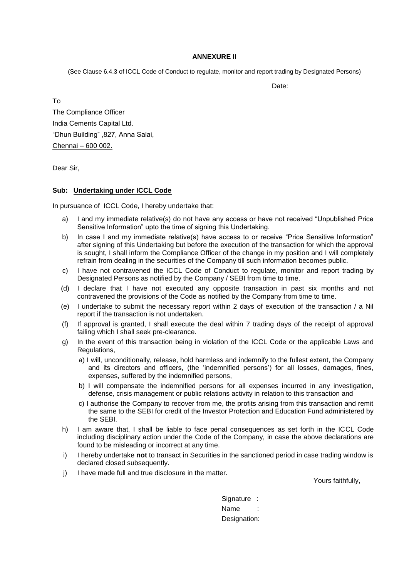#### **ANNEXURE II**

(See Clause 6.4.3 of ICCL Code of Conduct to regulate, monitor and report trading by Designated Persons)

Date:

To The Compliance Officer India Cements Capital Ltd. "Dhun Building" ,827, Anna Salai, Chennai – 600 002.

Dear Sir,

#### **Sub: Undertaking under ICCL Code**

In pursuance of ICCL Code, I hereby undertake that:

- a) I and my immediate relative(s) do not have any access or have not received "Unpublished Price Sensitive Information" upto the time of signing this Undertaking.
- b) In case I and my immediate relative(s) have access to or receive "Price Sensitive Information" after signing of this Undertaking but before the execution of the transaction for which the approval is sought, I shall inform the Compliance Officer of the change in my position and I will completely refrain from dealing in the securities of the Company till such information becomes public.
- c) I have not contravened the ICCL Code of Conduct to regulate, monitor and report trading by Designated Persons as notified by the Company / SEBI from time to time.
- (d) I declare that I have not executed any opposite transaction in past six months and not contravened the provisions of the Code as notified by the Company from time to time.
- (e) I undertake to submit the necessary report within 2 days of execution of the transaction / a Nil report if the transaction is not undertaken.
- (f) If approval is granted, I shall execute the deal within 7 trading days of the receipt of approval failing which I shall seek pre-clearance.
- g) In the event of this transaction being in violation of the ICCL Code or the applicable Laws and Regulations,
	- a) I will, unconditionally, release, hold harmless and indemnify to the fullest extent, the Company and its directors and officers, (the 'indemnified persons') for all losses, damages, fines, expenses, suffered by the indemnified persons,
	- b) I will compensate the indemnified persons for all expenses incurred in any investigation, defense, crisis management or public relations activity in relation to this transaction and
	- c) I authorise the Company to recover from me, the profits arising from this transaction and remit the same to the SEBI for credit of the Investor Protection and Education Fund administered by the SEBI.
- h) I am aware that, I shall be liable to face penal consequences as set forth in the ICCL Code including disciplinary action under the Code of the Company, in case the above declarations are found to be misleading or incorrect at any time.
- i) I hereby undertake **not** to transact in Securities in the sanctioned period in case trading window is declared closed subsequently.
- j) I have made full and true disclosure in the matter.

Yours faithfully,

Signature : Name Designation: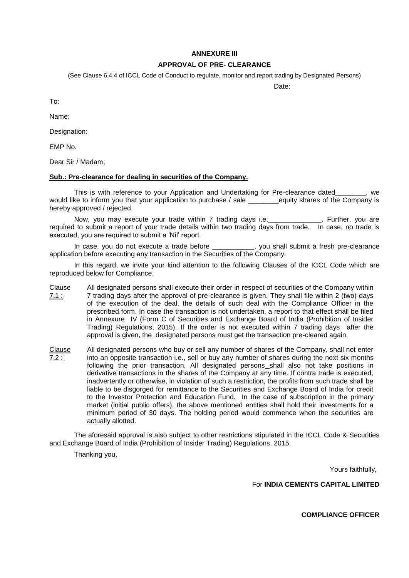#### **ANNEXURE III**

### **APPROVAL OF PRE- CLEARANCE**

(See Clause 6.4.4 of ICCL Code of Conduct to regulate, monitor and report trading by Designated Persons)

Date: The Contract of the Contract of the Date:

To:

Name:

Designation:

EMP No.

Dear Sir / Madam,

#### **Sub.: Pre-clearance for dealing in securities of the Company.**

This is with reference to your Application and Undertaking for Pre-clearance dated\_\_\_\_\_\_\_\_, we would like to inform you that your application to purchase / sale equity shares of the Company is hereby approved / rejected.

Now, you may execute your trade within 7 trading days i.e. \_\_\_\_\_\_\_\_\_\_\_\_\_\_. Further, you are required to submit a report of your trade details within two trading days from trade. In case, no trade is executed, you are required to submit a 'Nil' report.

In case, you do not execute a trade before  $\qquad \qquad$ , you shall submit a fresh pre-clearance application before executing any transaction in the Securities of the Company.

In this regard, we invite your kind attention to the following Clauses of the ICCL Code which are reproduced below for Compliance.

- Clause 7.1 : All designated persons shall execute their order in respect of securities of the Company within 7 trading days after the approval of pre-clearance is given. They shall file within 2 (two) days of the execution of the deal, the details of such deal with the Compliance Officer in the prescribed form. In case the transaction is not undertaken, a report to that effect shall be filed in Annexure IV (Form C of Securities and Exchange Board of India (Prohibition of Insider Trading) Regulations, 2015). If the order is not executed within 7 trading days after the approval is given, the designated persons must get the transaction pre-cleared again.
- Clause 7.2 : All designated persons who buy or sell any number of shares of the Company, shall not enter into an opposite transaction i.e., sell or buy any number of shares during the next six months following the prior transaction. All designated persons shall also not take positions in derivative transactions in the shares of the Company at any time. If contra trade is executed, inadvertently or otherwise, in violation of such a restriction, the profits from such trade shall be liable to be disgorged for remittance to the Securities and Exchange Board of India for credit to the Investor Protection and Education Fund. In the case of subscription in the primary market (initial public offers), the above mentioned entities shall hold their investments for a minimum period of 30 days. The holding period would commence when the securities are actually allotted.

The aforesaid approval is also subject to other restrictions stipulated in the ICCL Code & Securities and Exchange Board of India (Prohibition of Insider Trading) Regulations, 2015.

Thanking you,

Yours faithfully,

For **INDIA CEMENTS CAPITAL LIMITED** 

**COMPLIANCE OFFICER**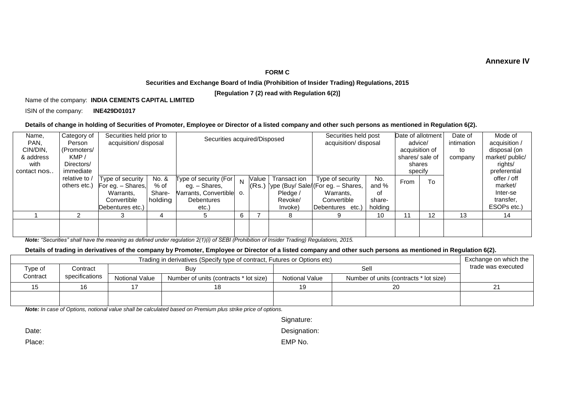### **Annexure IV**

#### **FORM C**

#### **Securities and Exchange Board of India (Prohibition of Insider Trading) Regulations, 2015**

**[Regulation 7 (2) read with Regulation 6(2)]**

#### Name of the company: **INDIA CEMENTS CAPITAL LIMITED**

ISIN of the company: **INE429D01017**

#### **Details of change in holding of Securities of Promoter, Employee or Director of a listed company and other such persons as mentioned in Regulation 6(2).**

| Name,<br>PAN,     | Category of<br>Person | Securities held prior to<br>acquisition/ disposal |         |                       | Securities acquired/Disposed |       |                          | Securities held post<br>acquisition/ disposal |                | Date of allotment<br>advice/ |         | Date of<br>intimation     | Mode of<br>acquisition / |
|-------------------|-----------------------|---------------------------------------------------|---------|-----------------------|------------------------------|-------|--------------------------|-----------------------------------------------|----------------|------------------------------|---------|---------------------------|--------------------------|
| CIN/DIN,          | (Promoters/           |                                                   |         |                       |                              |       |                          |                                               | acquisition of |                              | to      | disposal (on              |                          |
| & address<br>with | KMP/<br>Directors/    |                                                   |         |                       |                              |       | shares/sale of<br>shares |                                               |                |                              | company | market/public/<br>rights/ |                          |
| contact nos       | immediate             |                                                   |         |                       |                              |       |                          |                                               | specify        |                              |         | preferential              |                          |
|                   | relative to /         | Type of security                                  | No. &   | Type of security (For | N                            | Value | Transact ion             | Type of security                              | No.            | From                         | To      |                           | offer / off              |
|                   | others etc.)          | For eg. - Shares,                                 | % of    | eg. – Shares,         |                              | (Rs.) |                          | Type (Buy/ Sale/(For eg. - Shares,            | and %          |                              |         |                           | market/                  |
|                   |                       | Warrants,                                         | Share-  | Varrants, Convertible | O.                           |       | Pledge /                 | Warrants.                                     | οf             |                              |         |                           | Inter-se                 |
|                   |                       | Convertible                                       | holding | Debentures            |                              |       | Revoke/                  | Convertible                                   | share-         |                              |         |                           | transfer,                |
|                   |                       | Debentures etc.)                                  |         | etc.)                 |                              |       | Invoke)                  | Debentures<br>etc.)                           | holding        |                              |         |                           | ESOPs etc.)              |
|                   | ົ                     |                                                   | 4       | 5                     | 6                            |       | 8                        |                                               | 10             | 11                           | 12      | 13                        | 14                       |
|                   |                       |                                                   |         |                       |                              |       |                          |                                               |                |                              |         |                           |                          |
|                   |                       |                                                   |         |                       |                              |       |                          |                                               |                |                              |         |                           |                          |

*Note: "Securities" shall have the meaning as defined under regulation 2(1)(i) of SEBI (Prohibition of Insider Trading) Regulations, 2015.*

#### **Details of trading in derivatives of the company by Promoter, Employee or Director of a listed company and other such persons as mentioned in Regulation 6(2).**

|          | Trading in derivatives (Specify type of contract, Futures or Options etc) |                       |                                        |                       |                                        |  |  |  |  |  |
|----------|---------------------------------------------------------------------------|-----------------------|----------------------------------------|-----------------------|----------------------------------------|--|--|--|--|--|
| Type of  | Contract                                                                  |                       | Buv                                    |                       | trade was executed                     |  |  |  |  |  |
| Contract | specifications                                                            | <b>Notional Value</b> | Number of units (contracts * lot size) | <b>Notional Value</b> | Number of units (contracts * lot size) |  |  |  |  |  |
|          |                                                                           |                       |                                        | 19                    | 20                                     |  |  |  |  |  |
|          |                                                                           |                       |                                        |                       |                                        |  |  |  |  |  |
|          |                                                                           |                       |                                        |                       |                                        |  |  |  |  |  |

*Note: In case of Options, notional value shall be calculated based on Premium plus strike price of options.*

| Signature: |
|------------|
|------------|

Date: Date: Designation: Designation: Designation: Designation: Designation:

Place: EMP No.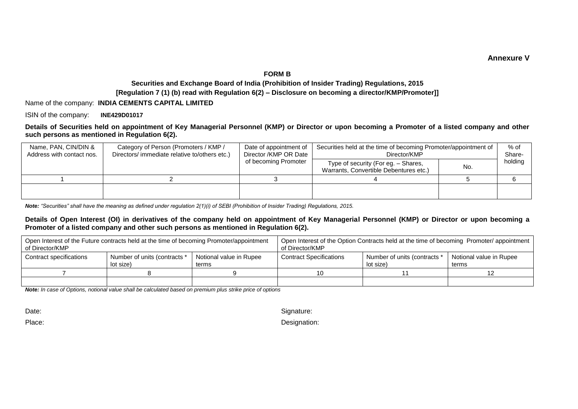#### **Annexure V**

#### **FORM B**

### **Securities and Exchange Board of India (Prohibition of Insider Trading) Regulations, 2015 [Regulation 7 (1) (b) read with Regulation 6(2) – Disclosure on becoming a director/KMP/Promoter]]**

Name of the company: **INDIA CEMENTS CAPITAL LIMITED**

ISIN of the company: **INE429D01017**

#### **Details of Securities held on appointment of Key Managerial Personnel (KMP) or Director or upon becoming a Promoter of a listed company and other such persons as mentioned in Regulation 6(2).**

| Name, PAN, CIN/DIN &<br>Address with contact nos. | Category of Person (Promoters / KMP /<br>Directors/ immediate relative to/others etc.) | Date of appointment of<br>Director / KMP OR Date | Securities held at the time of becoming Promoter/appointment of<br>Director/KMP |     | % of<br>Share- |
|---------------------------------------------------|----------------------------------------------------------------------------------------|--------------------------------------------------|---------------------------------------------------------------------------------|-----|----------------|
|                                                   |                                                                                        | of becoming Promoter                             | Type of security (For eg. - Shares,<br>Warrants, Convertible Debentures etc.)   | No. | holding        |
|                                                   |                                                                                        |                                                  |                                                                                 |     |                |
|                                                   |                                                                                        |                                                  |                                                                                 |     |                |

*Note: "Securities" shall have the meaning as defined under regulation 2(1)(i) of SEBI (Prohibition of Insider Trading) Regulations, 2015.*

#### **Details of Open Interest (OI) in derivatives of the company held on appointment of Key Managerial Personnel (KMP) or Director or upon becoming a Promoter of a listed company and other such persons as mentioned in Regulation 6(2).**

| of Director/KMP         | Open Interest of the Future contracts held at the time of becoming Promoter/appointment |                                  | Open Interest of the Option Contracts held at the time of becoming Promoter/appointment<br>of Director/KMP |                                           |                                  |  |
|-------------------------|-----------------------------------------------------------------------------------------|----------------------------------|------------------------------------------------------------------------------------------------------------|-------------------------------------------|----------------------------------|--|
| Contract specifications | Number of units (contracts *<br>lot size)                                               | Notional value in Rupee<br>terms | <b>Contract Specifications</b>                                                                             | Number of units (contracts *<br>lot size) | Notional value in Rupee<br>terms |  |
|                         |                                                                                         |                                  | 1ດ                                                                                                         |                                           |                                  |  |
|                         |                                                                                         |                                  |                                                                                                            |                                           |                                  |  |

*Note: In case of Options, notional value shall be calculated based on premium plus strike price of options*

Date: Signature: Signature: Signature: Signature: Signature: Signature: Signature: Signature: Signature: Signature: Signature: Signature: Signature: Signature: Signature: Signature: Signature: Signature: Signature: Signatu

Place: Designation: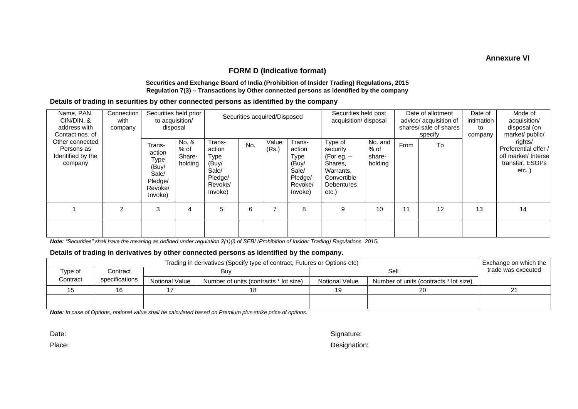**Annexure VI**

### **FORM D (Indicative format)**

#### **Securities and Exchange Board of India (Prohibition of Insider Trading) Regulations, 2015 Regulation 7(3) – Transactions by Other connected persons as identified by the company**

#### **Details of trading in securities by other connected persons as identified by the company**

| Name, PAN,<br>CIN/DIN, &<br>address with<br>Contact nos. of   | disposal      | Securities held prior<br>to acquisition/                                    | Securities acquired/Disposed       |                                                                             |     | Securities held post<br>acquisition/ disposal |                                                                             | Date of allotment<br>advice/ acquisition of<br>shares/ sale of shares<br>specify                         |                                        | Date of<br>intimation<br>to<br>company | Mode of<br>acquisition/<br>disposal (on<br>market/public/ |    |                                                                                        |
|---------------------------------------------------------------|---------------|-----------------------------------------------------------------------------|------------------------------------|-----------------------------------------------------------------------------|-----|-----------------------------------------------|-----------------------------------------------------------------------------|----------------------------------------------------------------------------------------------------------|----------------------------------------|----------------------------------------|-----------------------------------------------------------|----|----------------------------------------------------------------------------------------|
| Other connected<br>Persons as<br>Identified by the<br>company |               | Trans-<br>action<br>Type<br>(Buy/<br>Sale/<br>Pledge/<br>Revoke/<br>Invoke) | No. &<br>% of<br>Share-<br>holding | Trans-<br>action<br>Type<br>(Buy/<br>Sale/<br>Pledge/<br>Revoke/<br>Invoke) | No. | Value<br>(Rs.)                                | Trans-<br>action<br>Type<br>(Buy/<br>Sale/<br>Pledge/<br>Revoke/<br>Invoke) | Type of<br>security<br>(For eg. $-$<br>Shares,<br>Warrants,<br>Convertible<br><b>Debentures</b><br>etc.) | No. and<br>$%$ of<br>share-<br>holding | From                                   | To                                                        |    | rights/<br>Preferential offer /<br>off market/ Intersel<br>transfer, ESOPs<br>$etc.$ ) |
|                                                               | $\mathcal{P}$ | 3                                                                           | 4                                  | 5                                                                           | 6   |                                               | 8                                                                           | 9                                                                                                        | 10                                     | 11                                     | 12                                                        | 13 | 14                                                                                     |
|                                                               |               |                                                                             |                                    |                                                                             |     |                                               |                                                                             |                                                                                                          |                                        |                                        |                                                           |    |                                                                                        |

*Note: "Securities" shall have the meaning as defined under regulation 2(1)(i) of SEBI (Prohibition of Insider Trading) Regulations, 2015.*

#### **Details of trading in derivatives by other connected persons as identified by the company.**

|          | Trading in derivatives (Specify type of contract, Futures or Options etc) |                |                                        |                |                                        |  |  |  |  |  |
|----------|---------------------------------------------------------------------------|----------------|----------------------------------------|----------------|----------------------------------------|--|--|--|--|--|
| Type of  | Contract                                                                  |                | Buv                                    |                | trade was executed                     |  |  |  |  |  |
| Contract | specifications                                                            | Notional Value | Number of units (contracts * lot size) | Notional Value | Number of units (contracts * lot size) |  |  |  |  |  |
|          | 16                                                                        | 18             |                                        | 19             | 20                                     |  |  |  |  |  |
|          |                                                                           |                |                                        |                |                                        |  |  |  |  |  |
|          |                                                                           |                |                                        |                |                                        |  |  |  |  |  |

*Note: In case of Options, notional value shall be calculated based on Premium plus strike price of options.*

Date: Signature: Signature: Signature: Signature: Signature: Signature: Signature: Signature: Signature: Signature: Signature: Signature: Signature: Signature: Signature: Signature: Signature: Signature: Signature: Signatu

Place: Designation: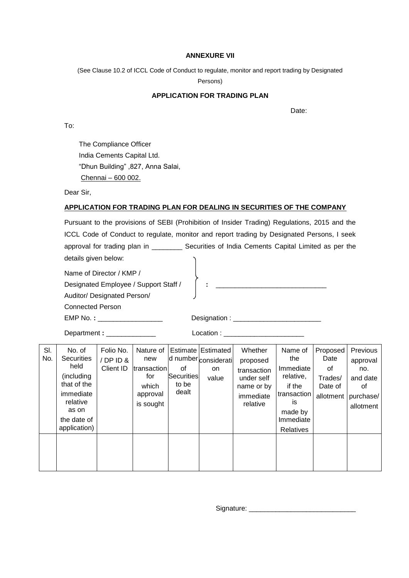#### **ANNEXURE VII**

(See Clause 10.2 of ICCL Code of Conduct to regulate, monitor and report trading by Designated

Persons)

### **APPLICATION FOR TRADING PLAN**

design and the contract of the contract of the Date:

To:

The Compliance Officer India Cements Capital Ltd. "Dhun Building" ,827, Anna Salai, Chennai – 600 002.

Dear Sir,

### **APPLICATION FOR TRADING PLAN FOR DEALING IN SECURITIES OF THE COMPANY**

Pursuant to the provisions of SEBI (Prohibition of Insider Trading) Regulations, 2015 and the ICCL Code of Conduct to regulate, monitor and report trading by Designated Persons, I seek approval for trading plan in \_\_\_\_\_\_\_\_\_\_\_ Securities of India Cements Capital Limited as per the details given below:

Name of Director / KMP /

Designated Employee / Support Staff / **:** \_\_\_\_\_\_\_\_\_\_\_\_\_\_\_\_\_\_\_\_\_\_\_\_\_\_\_\_\_

Auditor/ Designated Person/

Connected Person

EMP No. **:** \_\_\_\_\_\_\_\_\_\_\_\_\_\_\_\_\_ Designation : \_\_\_\_\_\_\_\_\_\_\_\_\_\_\_\_\_\_\_\_\_\_\_

Department **:** \_\_\_\_\_\_\_\_\_\_\_\_\_ Location : \_\_\_\_\_\_\_\_\_\_\_\_\_\_\_\_\_\_\_\_\_

| SI.<br>No. | No. of<br><b>Securities</b><br>held<br>(including<br>that of the<br>immediate<br>relative<br>as on<br>the date of<br>application) | Folio No.<br>/DPID&<br>Client ID | Nature of<br>new<br>transaction<br>tor<br>which<br>approval<br>is sought | of<br>Securities<br>to be<br>dealt | Estimate Estimated<br>d number considerati<br>on<br>value | Whether<br>proposed<br>transaction<br>under self<br>name or by<br>immediate<br>relative | Name of<br>the<br>Immediate<br>relative,<br>if the<br>transaction<br>İS<br>made by<br>Immediate | Proposed<br>Date<br>οf<br>Trades/<br>Date of<br>allotment | Previous<br>approval<br>no.<br>and date<br>οt<br>purchase/<br>allotment |
|------------|-----------------------------------------------------------------------------------------------------------------------------------|----------------------------------|--------------------------------------------------------------------------|------------------------------------|-----------------------------------------------------------|-----------------------------------------------------------------------------------------|-------------------------------------------------------------------------------------------------|-----------------------------------------------------------|-------------------------------------------------------------------------|
|            |                                                                                                                                   |                                  |                                                                          |                                    |                                                           |                                                                                         | Relatives                                                                                       |                                                           |                                                                         |

Signature: \_\_\_\_\_\_\_\_\_\_\_\_\_\_\_\_\_\_\_\_\_\_\_\_\_\_\_\_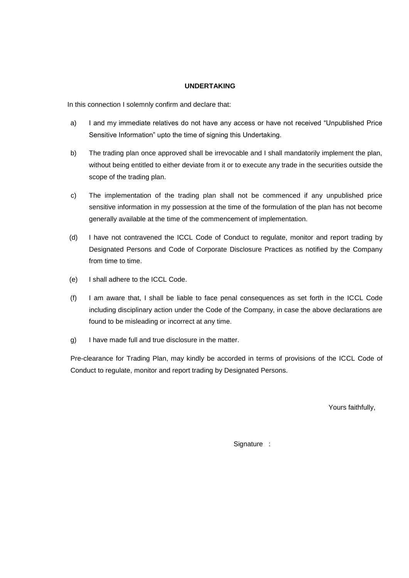#### **UNDERTAKING**

In this connection I solemnly confirm and declare that:

- a) I and my immediate relatives do not have any access or have not received "Unpublished Price Sensitive Information" upto the time of signing this Undertaking.
- b) The trading plan once approved shall be irrevocable and I shall mandatorily implement the plan, without being entitled to either deviate from it or to execute any trade in the securities outside the scope of the trading plan.
- c) The implementation of the trading plan shall not be commenced if any unpublished price sensitive information in my possession at the time of the formulation of the plan has not become generally available at the time of the commencement of implementation.
- (d) I have not contravened the ICCL Code of Conduct to regulate, monitor and report trading by Designated Persons and Code of Corporate Disclosure Practices as notified by the Company from time to time.
- (e) I shall adhere to the ICCL Code.
- (f) I am aware that, I shall be liable to face penal consequences as set forth in the ICCL Code including disciplinary action under the Code of the Company, in case the above declarations are found to be misleading or incorrect at any time.
- g) I have made full and true disclosure in the matter.

Pre-clearance for Trading Plan, may kindly be accorded in terms of provisions of the ICCL Code of Conduct to regulate, monitor and report trading by Designated Persons.

Yours faithfully,

Signature :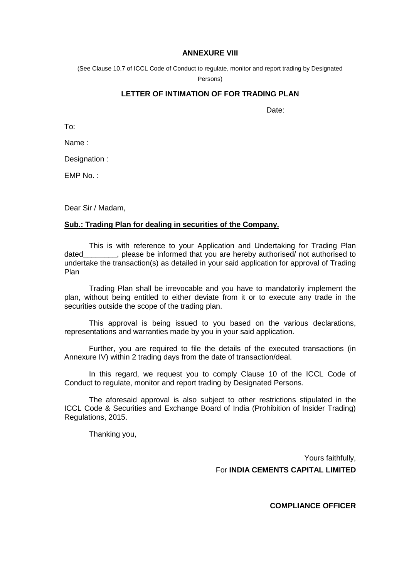#### **ANNEXURE VIII**

(See Clause 10.7 of ICCL Code of Conduct to regulate, monitor and report trading by Designated

Persons)

### **LETTER OF INTIMATION OF FOR TRADING PLAN**

Date:

To:

Name :

Designation :

EMP No. :

Dear Sir / Madam,

### **Sub.: Trading Plan for dealing in securities of the Company.**

This is with reference to your Application and Undertaking for Trading Plan dated endlease be informed that you are hereby authorised/ not authorised to undertake the transaction(s) as detailed in your said application for approval of Trading Plan

Trading Plan shall be irrevocable and you have to mandatorily implement the plan, without being entitled to either deviate from it or to execute any trade in the securities outside the scope of the trading plan.

This approval is being issued to you based on the various declarations, representations and warranties made by you in your said application.

Further, you are required to file the details of the executed transactions (in Annexure IV) within 2 trading days from the date of transaction/deal.

In this regard, we request you to comply Clause 10 of the ICCL Code of Conduct to regulate, monitor and report trading by Designated Persons.

The aforesaid approval is also subject to other restrictions stipulated in the ICCL Code & Securities and Exchange Board of India (Prohibition of Insider Trading) Regulations, 2015.

Thanking you,

Yours faithfully, For **INDIA CEMENTS CAPITAL LIMITED** 

**COMPLIANCE OFFICER**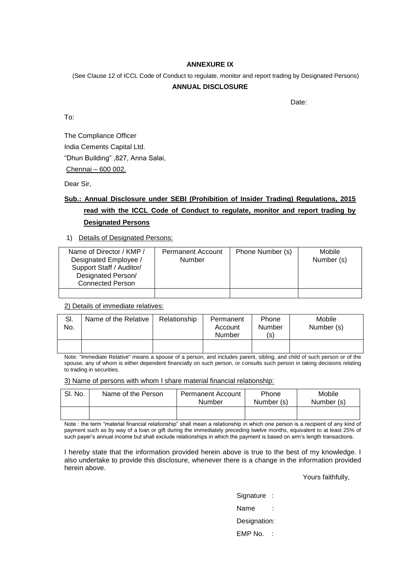#### **ANNEXURE IX**

(See Clause 12 of ICCL Code of Conduct to regulate, monitor and report trading by Designated Persons)

#### **ANNUAL DISCLOSURE**

design and the contract of the contract of the Date:

To:

The Compliance Officer India Cements Capital Ltd. "Dhun Building" ,827, Anna Salai, Chennai – 600 002.

Dear Sir,

# **Sub.: Annual Disclosure under SEBI (Prohibition of Insider Trading) Regulations, 2015 read with the ICCL Code of Conduct to regulate, monitor and report trading by Designated Persons**

1) Details of Designated Persons:

| Name of Director / KMP /<br>Designated Employee /<br>Support Staff / Auditor/<br>Designated Person/<br><b>Connected Person</b> | <b>Permanent Account</b><br>Number | Phone Number (s) | Mobile<br>Number (s) |
|--------------------------------------------------------------------------------------------------------------------------------|------------------------------------|------------------|----------------------|
|                                                                                                                                |                                    |                  |                      |

2) Details of immediate relatives:

| SI.<br>No. | Name of the Relative | Relationship | Permanent<br>Account<br>Number | Phone<br>Number<br>(s) | Mobile<br>Number (s) |
|------------|----------------------|--------------|--------------------------------|------------------------|----------------------|
|            |                      |              |                                |                        |                      |

Note: "Immediate Relative" means a spouse of a person, and includes parent, sibling, and child of such person or of the spouse, any of whom is either dependent financially on such person, or consults such person in taking decisions relating to trading in securities.

#### 3) Name of persons with whom I share material financial relationship:

| SI. No. | Name of the Person | <b>Permanent Account</b><br>Number | Phone<br>Number (s) | Mobile<br>Number (s) |
|---------|--------------------|------------------------------------|---------------------|----------------------|
|         |                    |                                    |                     |                      |

Note : the term "material financial relationship" shall mean a relationship in which one person is a recipient of any kind of payment such as by way of a loan or gift during the immediately preceding twelve months, equivalent to at least 25% of such payer's annual income but shall exclude relationships in which the payment is based on arm's length transactions.

I hereby state that the information provided herein above is true to the best of my knowledge. I also undertake to provide this disclosure, whenever there is a change in the information provided herein above.

Yours faithfully,

Signature :

Name

Designation:

EMP No. :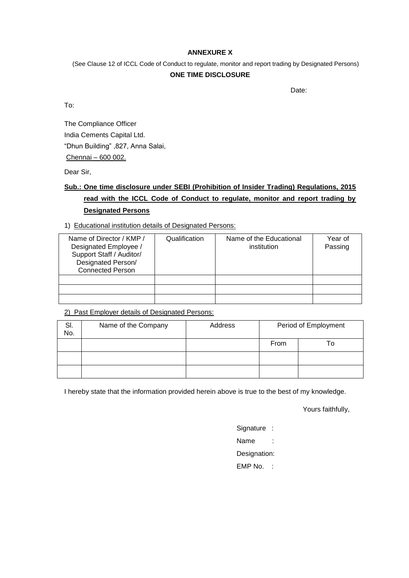#### **ANNEXURE X**

(See Clause 12 of ICCL Code of Conduct to regulate, monitor and report trading by Designated Persons)

#### **ONE TIME DISCLOSURE**

discussion of the contract of the contract of the contract of the Date:

To:

The Compliance Officer India Cements Capital Ltd. "Dhun Building" ,827, Anna Salai, Chennai – 600 002.

Dear Sir,

# **Sub.: One time disclosure under SEBI (Prohibition of Insider Trading) Regulations, 2015 read with the ICCL Code of Conduct to regulate, monitor and report trading by Designated Persons**

### 1) Educational institution details of Designated Persons:

| Name of Director / KMP /<br>Designated Employee /<br>Support Staff / Auditor/<br>Designated Person/<br><b>Connected Person</b> | Qualification | Name of the Educational<br>institution | Year of<br>Passing |
|--------------------------------------------------------------------------------------------------------------------------------|---------------|----------------------------------------|--------------------|
|                                                                                                                                |               |                                        |                    |
|                                                                                                                                |               |                                        |                    |
|                                                                                                                                |               |                                        |                    |

### 2) Past Employer details of Designated Persons:

| SI.<br>No. | Name of the Company | Address | Period of Employment |     |
|------------|---------------------|---------|----------------------|-----|
|            |                     |         | From                 | ח ו |
|            |                     |         |                      |     |
|            |                     |         |                      |     |

I hereby state that the information provided herein above is true to the best of my knowledge.

Yours faithfully,

Signature : Name :

Designation:

EMP No. :